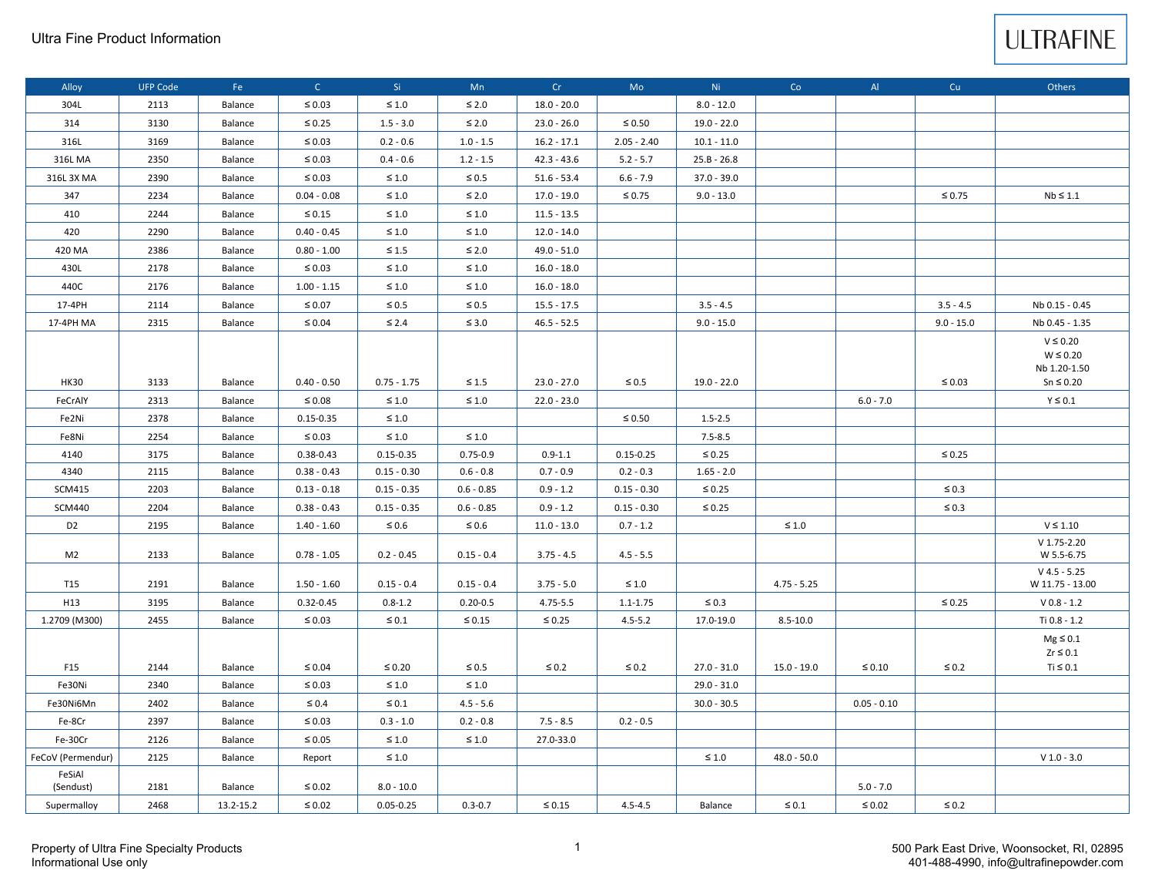

| Alloy               | <b>UFP Code</b> | Fe        | $\mathsf{C}$  | Si.           | Mn           | Cr            | Mo            | Ni.           | Co            | AI            | Cu           | Others                                                           |
|---------------------|-----------------|-----------|---------------|---------------|--------------|---------------|---------------|---------------|---------------|---------------|--------------|------------------------------------------------------------------|
| 304L                | 2113            | Balance   | $\leq 0.03$   | $\leq 1.0$    | $\leq 2.0$   | $18.0 - 20.0$ |               | $8.0 - 12.0$  |               |               |              |                                                                  |
| 314                 | 3130            | Balance   | $\leq 0.25$   | $1.5 - 3.0$   | $\leq 2.0$   | $23.0 - 26.0$ | $\leq 0.50$   | $19.0 - 22.0$ |               |               |              |                                                                  |
| 316L                | 3169            | Balance   | $\leq 0.03$   | $0.2 - 0.6$   | $1.0 - 1.5$  | $16.2 - 17.1$ | $2.05 - 2.40$ | $10.1 - 11.0$ |               |               |              |                                                                  |
| 316L MA             | 2350            | Balance   | $\leq 0.03$   | $0.4 - 0.6$   | $1.2 - 1.5$  | $42.3 - 43.6$ | $5.2 - 5.7$   | $25.B - 26.8$ |               |               |              |                                                                  |
| 316L 3X MA          | 2390            | Balance   | $\leq 0.03$   | $\leq 1.0$    | $\leq 0.5$   | $51.6 - 53.4$ | $6.6 - 7.9$   | 37.0 - 39.0   |               |               |              |                                                                  |
| 347                 | 2234            | Balance   | $0.04 - 0.08$ | $\leq 1.0$    | $\leq 2.0$   | $17.0 - 19.0$ | $\leq 0.75$   | $9.0 - 13.0$  |               |               | $\leq 0.75$  | $Nb \leq 1.1$                                                    |
| 410                 | 2244            | Balance   | $\leq 0.15$   | $\leq 1.0$    | $\leq 1.0$   | $11.5 - 13.5$ |               |               |               |               |              |                                                                  |
| 420                 | 2290            | Balance   | $0.40 - 0.45$ | $\leq 1.0$    | $\leq 1.0$   | $12.0 - 14.0$ |               |               |               |               |              |                                                                  |
| 420 MA              | 2386            | Balance   | $0.80 - 1.00$ | $\leq 1.5$    | $\leq 2.0$   | $49.0 - 51.0$ |               |               |               |               |              |                                                                  |
| 430L                | 2178            | Balance   | $\leq 0.03$   | $\leq 1.0$    | $\leq 1.0$   | $16.0 - 18.0$ |               |               |               |               |              |                                                                  |
| 440C                | 2176            | Balance   | $1.00 - 1.15$ | $\leq 1.0$    | $\leq 1.0$   | $16.0 - 18.0$ |               |               |               |               |              |                                                                  |
| 17-4PH              | 2114            | Balance   | $\leq 0.07$   | $\leq 0.5$    | $\leq 0.5$   | $15.5 - 17.5$ |               | $3.5 - 4.5$   |               |               | $3.5 - 4.5$  | Nb 0.15 - 0.45                                                   |
| 17-4PH MA           | 2315            | Balance   | $\leq 0.04$   | $\leq 2.4$    | $\leq 3.0$   | $46.5 - 52.5$ |               | $9.0 - 15.0$  |               |               | $9.0 - 15.0$ | Nb 0.45 - 1.35                                                   |
| <b>HK30</b>         | 3133            | Balance   | $0.40 - 0.50$ | $0.75 - 1.75$ | $\leq 1.5$   | $23.0 - 27.0$ | $\leq 0.5$    | $19.0 - 22.0$ |               |               | $\leq 0.03$  | $V \leq 0.20$<br>$W \leq 0.20$<br>Nb 1.20-1.50<br>$Sn \leq 0.20$ |
| FeCrAlY             | 2313            | Balance   | $\leq 0.08$   | $\leq 1.0$    | $\leq 1.0$   | $22.0 - 23.0$ |               |               |               | $6.0 - 7.0$   |              | $Y \leq 0.1$                                                     |
| Fe2Ni               | 2378            | Balance   | $0.15 - 0.35$ | $\leq 1.0$    |              |               | $\leq 0.50$   | $1.5 - 2.5$   |               |               |              |                                                                  |
| Fe8Ni               | 2254            | Balance   | $\leq 0.03$   | $\leq 1.0$    | $\leq 1.0$   |               |               | $7.5 - 8.5$   |               |               |              |                                                                  |
| 4140                | 3175            | Balance   | 0.38-0.43     | $0.15 - 0.35$ | $0.75 - 0.9$ | $0.9 - 1.1$   | $0.15 - 0.25$ | $\leq 0.25$   |               |               | $\leq 0.25$  |                                                                  |
| 4340                | 2115            | Balance   | $0.38 - 0.43$ | $0.15 - 0.30$ | $0.6 - 0.8$  | $0.7 - 0.9$   | $0.2 - 0.3$   | $1.65 - 2.0$  |               |               |              |                                                                  |
| <b>SCM415</b>       | 2203            | Balance   | $0.13 - 0.18$ | $0.15 - 0.35$ | $0.6 - 0.85$ | $0.9 - 1.2$   | $0.15 - 0.30$ | $\leq 0.25$   |               |               | $\leq 0.3$   |                                                                  |
| <b>SCM440</b>       | 2204            | Balance   | $0.38 - 0.43$ | $0.15 - 0.35$ | $0.6 - 0.85$ | $0.9 - 1.2$   | $0.15 - 0.30$ | $\leq 0.25$   |               |               | $\leq 0.3$   |                                                                  |
| D <sub>2</sub>      | 2195            | Balance   | $1.40 - 1.60$ | $\leq 0.6$    | $\leq 0.6$   | $11.0 - 13.0$ | $0.7 - 1.2$   |               | $\leq 1.0$    |               |              | $\lor$ $\leq$ 1.10                                               |
| M <sub>2</sub>      | 2133            | Balance   | $0.78 - 1.05$ | $0.2 - 0.45$  | $0.15 - 0.4$ | $3.75 - 4.5$  | $4.5 - 5.5$   |               |               |               |              | $V$ 1.75-2.20<br>W 5.5-6.75                                      |
| T15                 | 2191            | Balance   | $1.50 - 1.60$ | $0.15 - 0.4$  | $0.15 - 0.4$ | $3.75 - 5.0$  | $\leq 1.0$    |               | $4.75 - 5.25$ |               |              | $V$ 4.5 - 5.25<br>W 11.75 - 13.00                                |
| H13                 | 3195            | Balance   | 0.32-0.45     | $0.8 - 1.2$   | $0.20 - 0.5$ | 4.75-5.5      | $1.1 - 1.75$  | $\leq 0.3$    |               |               | $\leq 0.25$  | $V 0.8 - 1.2$                                                    |
| 1.2709 (M300)       | 2455            | Balance   | $\leq 0.03$   | $\leq 0.1$    | $\leq 0.15$  | $\leq 0.25$   | $4.5 - 5.2$   | 17.0-19.0     | $8.5 - 10.0$  |               |              | Ti 0.8 - 1.2                                                     |
| F15                 | 2144            | Balance   | $\leq 0.04$   | $\leq 0.20$   | $\leq 0.5$   | $\leq 0.2$    | $\leq 0.2$    | $27.0 - 31.0$ | $15.0 - 19.0$ | $\leq 0.10$   | $\leq 0.2$   | $Mg \leq 0.1$<br>$Zr \leq 0.1$<br>Ti $\leq 0.1$                  |
| Fe30Ni              | 2340            | Balance   | $\leq 0.03$   | $\leq 1.0$    | $\leq 1.0$   |               |               | 29.0 - 31.0   |               |               |              |                                                                  |
| Fe30Ni6Mn           | 2402            | Balance   | $\leq 0.4$    | $\leq 0.1$    | $4.5 - 5.6$  |               |               | $30.0 - 30.5$ |               | $0.05 - 0.10$ |              |                                                                  |
| Fe-8Cr              | 2397            | Balance   | $\leq 0.03$   | $0.3 - 1.0$   | $0.2 - 0.8$  | $7.5 - 8.5$   | $0.2 - 0.5$   |               |               |               |              |                                                                  |
| Fe-30Cr             | 2126            | Balance   | $\leq 0.05$   | $\leq 1.0$    | $\leq 1.0$   | 27.0-33.0     |               |               |               |               |              |                                                                  |
| FeCoV (Permendur)   | 2125            | Balance   | Report        | $\leq 1.0$    |              |               |               | $\leq 1.0$    | $48.0 - 50.0$ |               |              | $V$ 1.0 - 3.0                                                    |
| FeSiAl<br>(Sendust) | 2181            | Balance   | $\leq 0.02$   | $8.0 - 10.0$  |              |               |               |               |               | $5.0 - 7.0$   |              |                                                                  |
| Supermalloy         | 2468            | 13.2-15.2 | $\leq 0.02$   | $0.05 - 0.25$ | $0.3 - 0.7$  | $\leq 0.15$   | $4.5 - 4.5$   | Balance       | $\leq 0.1$    | $\leq 0.02$   | $\leq 0.2$   |                                                                  |